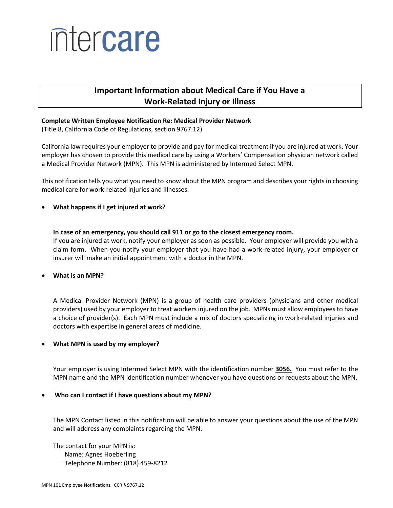# intercare

# **Important Information about Medical Care if You Have a Work-Related Injury or Illness**

# **Complete Written Employee Notification Re: Medical Provider Network**

(Title 8, California Code of Regulations, section 9767.12)

California law requires your employer to provide and pay for medical treatment if you are injured at work. Your employer has chosen to provide this medical care by using a Workers' Compensation physician network called a Medical Provider Network (MPN). This MPN is administered by Intermed Select MPN.

This notification tells you what you need to know about the MPN program and describes your rights in choosing medical care for work-related injuries and illnesses.

# **What happens if I get injured at work?**

**In case of an emergency, you should call 911 or go to the closest emergency room.** If you are injured at work, notify your employer as soon as possible. Your employer will provide you with a claim form. When you notify your employer that you have had a work-related injury, your employer or insurer will make an initial appointment with a doctor in the MPN.

# **What is an MPN?**

A Medical Provider Network (MPN) is a group of health care providers (physicians and other medical providers) used by your employer to treat workers injured on the job. MPNs must allow employees to have a choice of provider(s). Each MPN must include a mix of doctors specializing in work-related injuries and doctors with expertise in general areas of medicine.

# **What MPN is used by my employer?**

Your employer is using Intermed Select MPN with the identification number **3056.** You must refer to the MPN name and the MPN identification number whenever you have questions or requests about the MPN.

# **Who can I contact if I have questions about my MPN?**

The MPN Contact listed in this notification will be able to answer your questions about the use of the MPN and will address any complaints regarding the MPN.

The contact for your MPN is: Name: Agnes Hoeberling Telephone Number: (818) 459-8212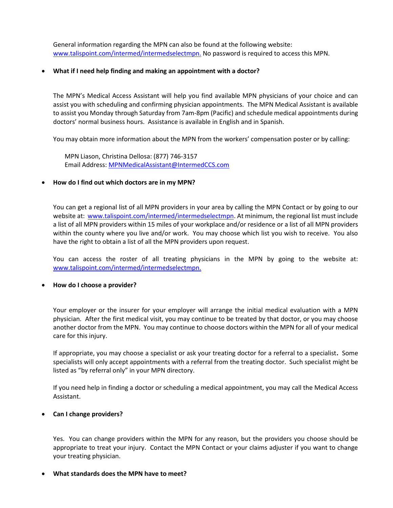General information regarding the MPN can also be found at the following website: www.talispoint.com/intermed/intermedselectmpn. No password is required to access this MPN.

### **What if I need help finding and making an appointment with a doctor?**

The MPN's Medical Access Assistant will help you find available MPN physicians of your choice and can assist you with scheduling and confirming physician appointments. The MPN Medical Assistant is available to assist you Monday through Saturday from 7am-8pm (Pacific) and schedule medical appointments during doctors' normal business hours. Assistance is available in English and in Spanish.

You may obtain more information about the MPN from the workers' compensation poster or by calling:

MPN Liason, Christina Dellosa: (877) 746-3157 Email Address: [MPNMedicalAssistant@IntermedCCS.com](mailto:MPNMedicalAssistant@IntermedCCS.com)

#### **How do I find out which doctors are in my MPN?**

You can get a regional list of all MPN providers in your area by calling the MPN Contact or by going to our website at: [www.talispoint.com/intermed/intermedselectmpn.](http://www.talispoint.com/intermed/intermedselectmpn) At minimum, the regional list must include a list of all MPN providers within 15 miles of your workplace and/or residence or a list of all MPN providers within the county where you live and/or work. You may choose which list you wish to receive. You also have the right to obtain a list of all the MPN providers upon request.

You can access the roster of all treating physicians in the MPN by going to the website at: [www.talispoint.com/intermed/intermedselectmpn.](http://www.talispoint.com/intermed/intermedselectmpn)

#### **How do I choose a provider?**

Your employer or the insurer for your employer will arrange the initial medical evaluation with a MPN physician. After the first medical visit, you may continue to be treated by that doctor, or you may choose another doctor from the MPN. You may continue to choose doctors within the MPN for all of your medical care for this injury.

If appropriate, you may choose a specialist or ask your treating doctor for a referral to a specialist**.** Some specialists will only accept appointments with a referral from the treating doctor. Such specialist might be listed as "by referral only" in your MPN directory.

If you need help in finding a doctor or scheduling a medical appointment, you may call the Medical Access Assistant.

#### **Can I change providers?**

Yes. You can change providers within the MPN for any reason, but the providers you choose should be appropriate to treat your injury. Contact the MPN Contact or your claims adjuster if you want to change your treating physician.

#### **What standards does the MPN have to meet?**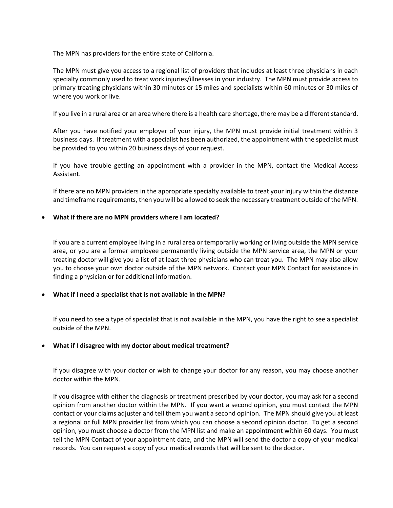The MPN has providers for the entire state of California.

The MPN must give you access to a regional list of providers that includes at least three physicians in each specialty commonly used to treat work injuries/illnesses in your industry. The MPN must provide access to primary treating physicians within 30 minutes or 15 miles and specialists within 60 minutes or 30 miles of where you work or live.

If you live in a rural area or an area where there is a health care shortage, there may be a different standard.

After you have notified your employer of your injury, the MPN must provide initial treatment within 3 business days. If treatment with a specialist has been authorized, the appointment with the specialist must be provided to you within 20 business days of your request.

If you have trouble getting an appointment with a provider in the MPN, contact the Medical Access Assistant.

If there are no MPN providers in the appropriate specialty available to treat your injury within the distance and timeframe requirements, then you will be allowed to seek the necessary treatment outside of the MPN.

#### **What if there are no MPN providers where I am located?**

If you are a current employee living in a rural area or temporarily working or living outside the MPN service area, or you are a former employee permanently living outside the MPN service area, the MPN or your treating doctor will give you a list of at least three physicians who can treat you. The MPN may also allow you to choose your own doctor outside of the MPN network. Contact your MPN Contact for assistance in finding a physician or for additional information.

# **What if I need a specialist that is not available in the MPN?**

If you need to see a type of specialist that is not available in the MPN, you have the right to see a specialist outside of the MPN.

# **What if I disagree with my doctor about medical treatment?**

If you disagree with your doctor or wish to change your doctor for any reason, you may choose another doctor within the MPN.

If you disagree with either the diagnosis or treatment prescribed by your doctor, you may ask for a second opinion from another doctor within the MPN. If you want a second opinion, you must contact the MPN contact or your claims adjuster and tell them you want a second opinion. The MPN should give you at least a regional or full MPN provider list from which you can choose a second opinion doctor. To get a second opinion, you must choose a doctor from the MPN list and make an appointment within 60 days. You must tell the MPN Contact of your appointment date, and the MPN will send the doctor a copy of your medical records. You can request a copy of your medical records that will be sent to the doctor.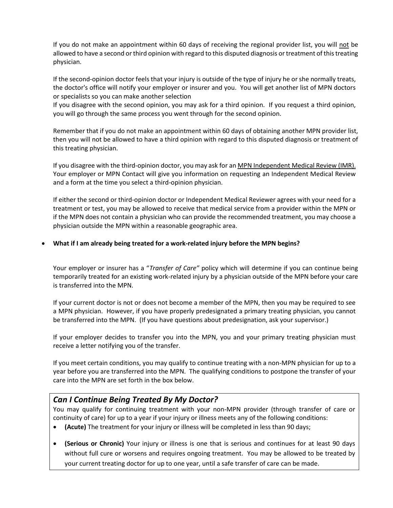If you do not make an appointment within 60 days of receiving the regional provider list, you will not be allowed to have a second or third opinion with regard to this disputed diagnosis or treatment of this treating physician.

If the second-opinion doctor feels that your injury is outside of the type of injury he or she normally treats, the doctor's office will notify your employer or insurer and you. You will get another list of MPN doctors or specialists so you can make another selection

If you disagree with the second opinion, you may ask for a third opinion. If you request a third opinion, you will go through the same process you went through for the second opinion.

Remember that if you do not make an appointment within 60 days of obtaining another MPN provider list, then you will not be allowed to have a third opinion with regard to this disputed diagnosis or treatment of this treating physician.

If you disagree with the third-opinion doctor, you may ask for an MPN Independent Medical Review (IMR). Your employer or MPN Contact will give you information on requesting an Independent Medical Review and a form at the time you select a third-opinion physician.

If either the second or third-opinion doctor or Independent Medical Reviewer agrees with your need for a treatment or test, you may be allowed to receive that medical service from a provider within the MPN or if the MPN does not contain a physician who can provide the recommended treatment, you may choose a physician outside the MPN within a reasonable geographic area.

# **What if I am already being treated for a work-related injury before the MPN begins?**

Your employer or insurer has a "*Transfer of Care"* policy which will determine if you can continue being temporarily treated for an existing work-related injury by a physician outside of the MPN before your care is transferred into the MPN.

If your current doctor is not or does not become a member of the MPN, then you may be required to see a MPN physician. However, if you have properly predesignated a primary treating physician, you cannot be transferred into the MPN. (If you have questions about predesignation, ask your supervisor.)

If your employer decides to transfer you into the MPN, you and your primary treating physician must receive a letter notifying you of the transfer.

If you meet certain conditions, you may qualify to continue treating with a non-MPN physician for up to a year before you are transferred into the MPN. The qualifying conditions to postpone the transfer of your care into the MPN are set forth in the box below.

# *Can I Continue Being Treated By My Doctor?*

You may qualify for continuing treatment with your non-MPN provider (through transfer of care or continuity of care) for up to a year if your injury or illness meets any of the following conditions:

- **(Acute)** The treatment for your injury or illness will be completed in less than 90 days;
- **(Serious or Chronic)** Your injury or illness is one that is serious and continues for at least 90 days without full cure or worsens and requires ongoing treatment. You may be allowed to be treated by your current treating doctor for up to one year, until a safe transfer of care can be made.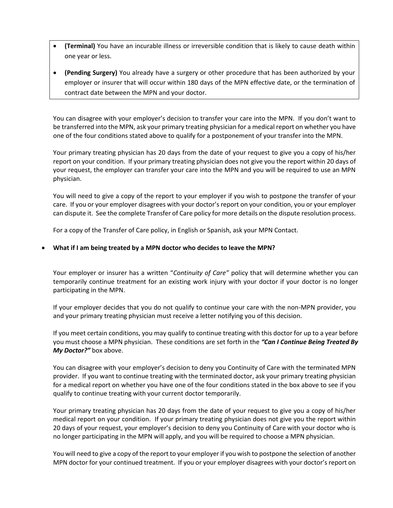- **(Terminal)** You have an incurable illness or irreversible condition that is likely to cause death within one year or less.
- **(Pending Surgery)** You already have a surgery or other procedure that has been authorized by your employer or insurer that will occur within 180 days of the MPN effective date, or the termination of contract date between the MPN and your doctor.

You can disagree with your employer's decision to transfer your care into the MPN. If you don't want to be transferred into the MPN, ask your primary treating physician for a medical report on whether you have one of the four conditions stated above to qualify for a postponement of your transfer into the MPN.

Your primary treating physician has 20 days from the date of your request to give you a copy of his/her report on your condition. If your primary treating physician does not give you the report within 20 days of your request, the employer can transfer your care into the MPN and you will be required to use an MPN physician.

You will need to give a copy of the report to your employer if you wish to postpone the transfer of your care. If you or your employer disagrees with your doctor's report on your condition, you or your employer can dispute it. See the complete Transfer of Care policy for more details on the dispute resolution process.

For a copy of the Transfer of Care policy, in English or Spanish, ask your MPN Contact.

# **What if I am being treated by a MPN doctor who decides to leave the MPN?**

Your employer or insurer has a written "*Continuity of Care"* policy that will determine whether you can temporarily continue treatment for an existing work injury with your doctor if your doctor is no longer participating in the MPN.

If your employer decides that you do not qualify to continue your care with the non-MPN provider, you and your primary treating physician must receive a letter notifying you of this decision.

If you meet certain conditions, you may qualify to continue treating with this doctor for up to a year before you must choose a MPN physician. These conditions are set forth in the *"Can I Continue Being Treated By My Doctor?"* box above.

You can disagree with your employer's decision to deny you Continuity of Care with the terminated MPN provider. If you want to continue treating with the terminated doctor, ask your primary treating physician for a medical report on whether you have one of the four conditions stated in the box above to see if you qualify to continue treating with your current doctor temporarily.

Your primary treating physician has 20 days from the date of your request to give you a copy of his/her medical report on your condition. If your primary treating physician does not give you the report within 20 days of your request, your employer's decision to deny you Continuity of Care with your doctor who is no longer participating in the MPN will apply, and you will be required to choose a MPN physician.

You will need to give a copy of the report to your employer if you wish to postpone the selection of another MPN doctor for your continued treatment. If you or your employer disagrees with your doctor's report on